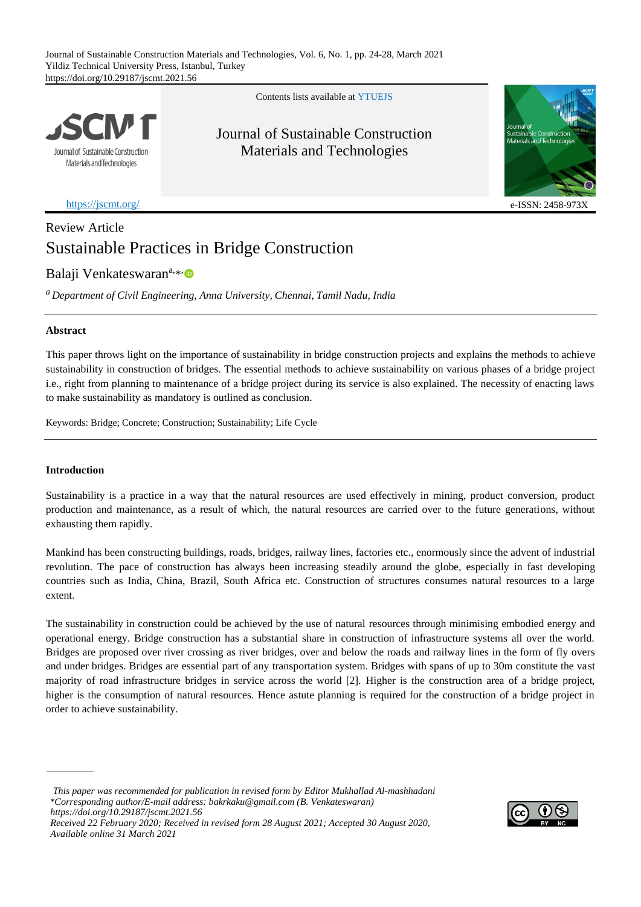Journal of Sustainable Construction Materials and Technologies, Vol. 6, No. 1, pp. 24-28, March 2021 Yildiz Technical University Press, Istanbul, Turkey https://doi.org/10.29187/jscmt.2021.56

Journal of Sustainable Construction Materials and Technologies

<https://jscmt.org/> e-ISSN: 2458

# Review Article Sustainable Practices in Bridge Construction

Balaji Venkateswaran<sup>a[,](https://orcid.org/0000-0002-1018-2608)\*</sup>

*<sup>a</sup> Department of Civil Engineering, Anna University, Chennai, Tamil Nadu, India*

# **Abstract**

This paper throws light on the importance of sustainability in bridge construction projects and explains the methods to achieve sustainability in construction of bridges. The essential methods to achieve sustainability on various phases of a bridge project i.e., right from planning to maintenance of a bridge project during its service is also explained. The necessity of enacting laws to make sustainability as mandatory is outlined as conclusion.

Keywords: Bridge; Concrete; Construction; Sustainability; Life Cycle

# **Introduction**

*Available online 31 March 2021*

Sustainability is a practice in a way that the natural resources are used effectively in mining, product conversion, product production and maintenance, as a result of which, the natural resources are carried over to the future generations, without exhausting them rapidly.

Mankind has been constructing buildings, roads, bridges, railway lines, factories etc., enormously since the advent of industrial revolution. The pace of construction has always been increasing steadily around the globe, especially in fast developing countries such as India, China, Brazil, South Africa etc. Construction of structures consumes natural resources to a large extent.

The sustainability in construction could be achieved by the use of natural resources through minimising embodied energy and operational energy. Bridge construction has a substantial share in construction of infrastructure systems all over the world. Bridges are proposed over river crossing as river bridges, over and below the roads and railway lines in the form of fly overs and under bridges. Bridges are essential part of any transportation system. Bridges with spans of up to 30m constitute the vast majority of road infrastructure bridges in service across the world [2]. Higher is the construction area of a bridge project, higher is the consumption of natural resources. Hence astute planning is required for the construction of a bridge project in order to achieve sustainability.

 *This paper was recommended for publication in revised form by Editor Mukhallad Al-mashhadani \*Corresponding author/E-mail address: [bakrkaku@gmail.com](mailto:bakrkaku@gmail.com) (B. Venkateswaran) https://doi.org/10.29187/jscmt.2021.56 Received 22 February 2020; Received in revised form 28 August 2021; Accepted 30 August 2020,* 



Journal of Sustainable Construction Materials and Technologies



Contents lists available at [YTUE](https://eds.yildiz.edu.tr/jscmt)JS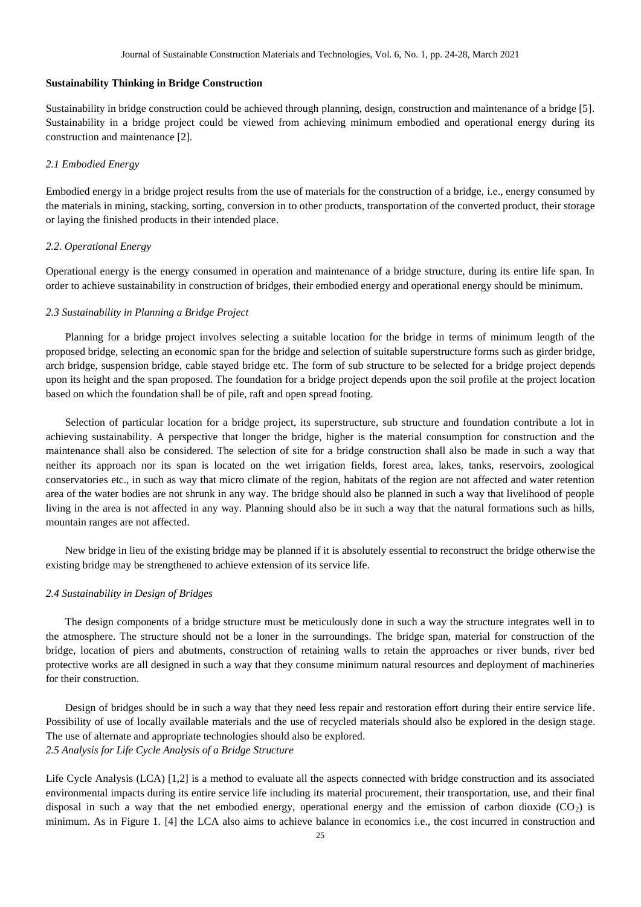#### **Sustainability Thinking in Bridge Construction**

Sustainability in bridge construction could be achieved through planning, design, construction and maintenance of a bridge [5]. Sustainability in a bridge project could be viewed from achieving minimum embodied and operational energy during its construction and maintenance [2].

### *2.1 Embodied Energy*

Embodied energy in a bridge project results from the use of materials for the construction of a bridge, i.e., energy consumed by the materials in mining, stacking, sorting, conversion in to other products, transportation of the converted product, their storage or laying the finished products in their intended place.

#### *2.2. Operational Energy*

Operational energy is the energy consumed in operation and maintenance of a bridge structure, during its entire life span. In order to achieve sustainability in construction of bridges, their embodied energy and operational energy should be minimum.

# *2.3 Sustainability in Planning a Bridge Project*

Planning for a bridge project involves selecting a suitable location for the bridge in terms of minimum length of the proposed bridge, selecting an economic span for the bridge and selection of suitable superstructure forms such as girder bridge, arch bridge, suspension bridge, cable stayed bridge etc. The form of sub structure to be selected for a bridge project depends upon its height and the span proposed. The foundation for a bridge project depends upon the soil profile at the project location based on which the foundation shall be of pile, raft and open spread footing.

Selection of particular location for a bridge project, its superstructure, sub structure and foundation contribute a lot in achieving sustainability. A perspective that longer the bridge, higher is the material consumption for construction and the maintenance shall also be considered. The selection of site for a bridge construction shall also be made in such a way that neither its approach nor its span is located on the wet irrigation fields, forest area, lakes, tanks, reservoirs, zoological conservatories etc., in such as way that micro climate of the region, habitats of the region are not affected and water retention area of the water bodies are not shrunk in any way. The bridge should also be planned in such a way that livelihood of people living in the area is not affected in any way. Planning should also be in such a way that the natural formations such as hills, mountain ranges are not affected.

New bridge in lieu of the existing bridge may be planned if it is absolutely essential to reconstruct the bridge otherwise the existing bridge may be strengthened to achieve extension of its service life.

## *2.4 Sustainability in Design of Bridges*

The design components of a bridge structure must be meticulously done in such a way the structure integrates well in to the atmosphere. The structure should not be a loner in the surroundings. The bridge span, material for construction of the bridge, location of piers and abutments, construction of retaining walls to retain the approaches or river bunds, river bed protective works are all designed in such a way that they consume minimum natural resources and deployment of machineries for their construction.

Design of bridges should be in such a way that they need less repair and restoration effort during their entire service life. Possibility of use of locally available materials and the use of recycled materials should also be explored in the design stage. The use of alternate and appropriate technologies should also be explored. *2.5 Analysis for Life Cycle Analysis of a Bridge Structure*

Life Cycle Analysis (LCA) [1,2] is a method to evaluate all the aspects connected with bridge construction and its associated environmental impacts during its entire service life including its material procurement, their transportation, use, and their final disposal in such a way that the net embodied energy, operational energy and the emission of carbon dioxide  $(CO_2)$  is minimum. As in Figure 1. [4] the LCA also aims to achieve balance in economics i.e., the cost incurred in construction and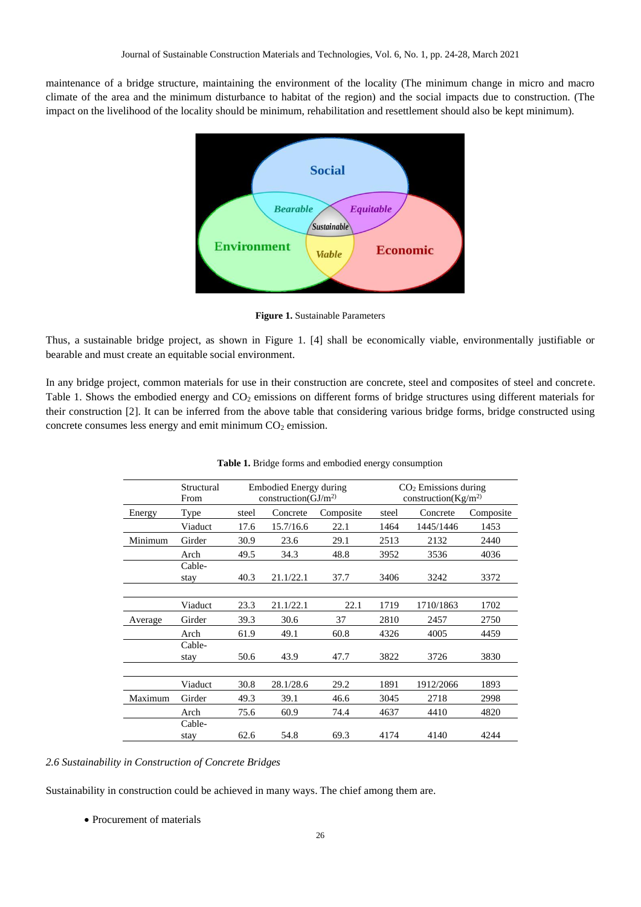maintenance of a bridge structure, maintaining the environment of the locality (The minimum change in micro and macro climate of the area and the minimum disturbance to habitat of the region) and the social impacts due to construction. (The impact on the livelihood of the locality should be minimum, rehabilitation and resettlement should also be kept minimum).



**Figure 1.** Sustainable Parameters

Thus, a sustainable bridge project, as shown in Figure 1. [4] shall be economically viable, environmentally justifiable or bearable and must create an equitable social environment.

In any bridge project, common materials for use in their construction are concrete, steel and composites of steel and concrete. Table 1. Shows the embodied energy and  $CO<sub>2</sub>$  emissions on different forms of bridge structures using different materials for their construction [2]. It can be inferred from the above table that considering various bridge forms, bridge constructed using concrete consumes less energy and emit minimum  $CO<sub>2</sub>$  emission.

|         | Structural |       | Embodied Energy during  |           | $CO2$ Emissions during<br>construction( $\text{Kg/m}^2$ ) |           |           |  |
|---------|------------|-------|-------------------------|-----------|-----------------------------------------------------------|-----------|-----------|--|
|         | From       |       | construction( $GI/m2$ ) |           |                                                           |           |           |  |
| Energy  | Type       | steel | Concrete                | Composite | steel                                                     | Concrete  | Composite |  |
|         | Viaduct    | 17.6  | 15.7/16.6               | 22.1      | 1464                                                      | 1445/1446 | 1453      |  |
| Minimum | Girder     | 30.9  | 23.6                    | 29.1      | 2513                                                      | 2132      | 2440      |  |
|         | Arch       | 49.5  | 34.3                    | 48.8      | 3952                                                      | 3536      | 4036      |  |
|         | Cable-     |       |                         |           |                                                           |           |           |  |
|         | stay       | 40.3  | 21.1/22.1               | 37.7      | 3406                                                      | 3242      | 3372      |  |
|         |            |       |                         |           |                                                           |           |           |  |
|         | Viaduct    | 23.3  | 21.1/22.1               | 22.1      | 1719                                                      | 1710/1863 | 1702      |  |
| Average | Girder     | 39.3  | 30.6                    | 37        | 2810                                                      | 2457      | 2750      |  |
|         | Arch       | 61.9  | 49.1                    | 60.8      | 4326                                                      | 4005      | 4459      |  |
|         | Cable-     |       |                         |           |                                                           |           |           |  |
|         | stay       | 50.6  | 43.9                    | 47.7      | 3822                                                      | 3726      | 3830      |  |
|         |            |       |                         |           |                                                           |           |           |  |
|         | Viaduct    | 30.8  | 28.1/28.6               | 29.2      | 1891                                                      | 1912/2066 | 1893      |  |
| Maximum | Girder     | 49.3  | 39.1                    | 46.6      | 3045                                                      | 2718      | 2998      |  |
|         | Arch       | 75.6  | 60.9                    | 74.4      | 4637                                                      | 4410      | 4820      |  |
|         | Cable-     |       |                         |           |                                                           |           |           |  |
|         | stay       | 62.6  | 54.8                    | 69.3      | 4174                                                      | 4140      | 4244      |  |

|  |  | Table 1. Bridge forms and embodied energy consumption |  |  |
|--|--|-------------------------------------------------------|--|--|
|  |  |                                                       |  |  |

# *2.6 Sustainability in Construction of Concrete Bridges*

Sustainability in construction could be achieved in many ways. The chief among them are.

• Procurement of materials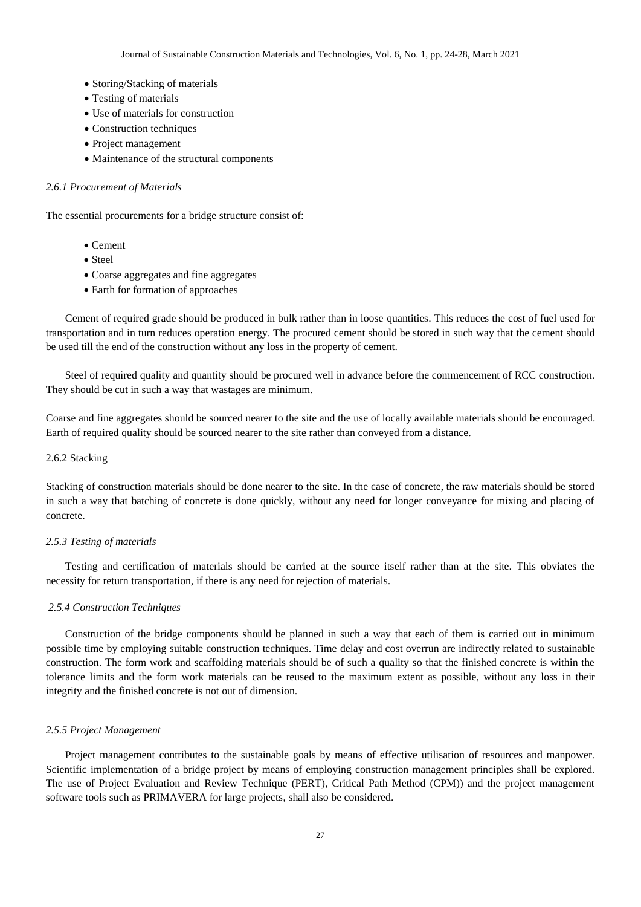- Storing/Stacking of materials
- Testing of materials
- Use of materials for construction
- Construction techniques
- Project management
- Maintenance of the structural components

# *2.6.1 Procurement of Materials*

The essential procurements for a bridge structure consist of:

- Cement
- Steel
- Coarse aggregates and fine aggregates
- Earth for formation of approaches

Cement of required grade should be produced in bulk rather than in loose quantities. This reduces the cost of fuel used for transportation and in turn reduces operation energy. The procured cement should be stored in such way that the cement should be used till the end of the construction without any loss in the property of cement.

Steel of required quality and quantity should be procured well in advance before the commencement of RCC construction. They should be cut in such a way that wastages are minimum.

Coarse and fine aggregates should be sourced nearer to the site and the use of locally available materials should be encouraged. Earth of required quality should be sourced nearer to the site rather than conveyed from a distance.

#### 2.6.2 Stacking

Stacking of construction materials should be done nearer to the site. In the case of concrete, the raw materials should be stored in such a way that batching of concrete is done quickly, without any need for longer conveyance for mixing and placing of concrete.

### *2.5.3 Testing of materials*

Testing and certification of materials should be carried at the source itself rather than at the site. This obviates the necessity for return transportation, if there is any need for rejection of materials.

# *2.5.4 Construction Techniques*

Construction of the bridge components should be planned in such a way that each of them is carried out in minimum possible time by employing suitable construction techniques. Time delay and cost overrun are indirectly related to sustainable construction. The form work and scaffolding materials should be of such a quality so that the finished concrete is within the tolerance limits and the form work materials can be reused to the maximum extent as possible, without any loss in their integrity and the finished concrete is not out of dimension.

#### *2.5.5 Project Management*

Project management contributes to the sustainable goals by means of effective utilisation of resources and manpower. Scientific implementation of a bridge project by means of employing construction management principles shall be explored. The use of Project Evaluation and Review Technique (PERT), Critical Path Method (CPM)) and the project management software tools such as PRIMAVERA for large projects, shall also be considered.